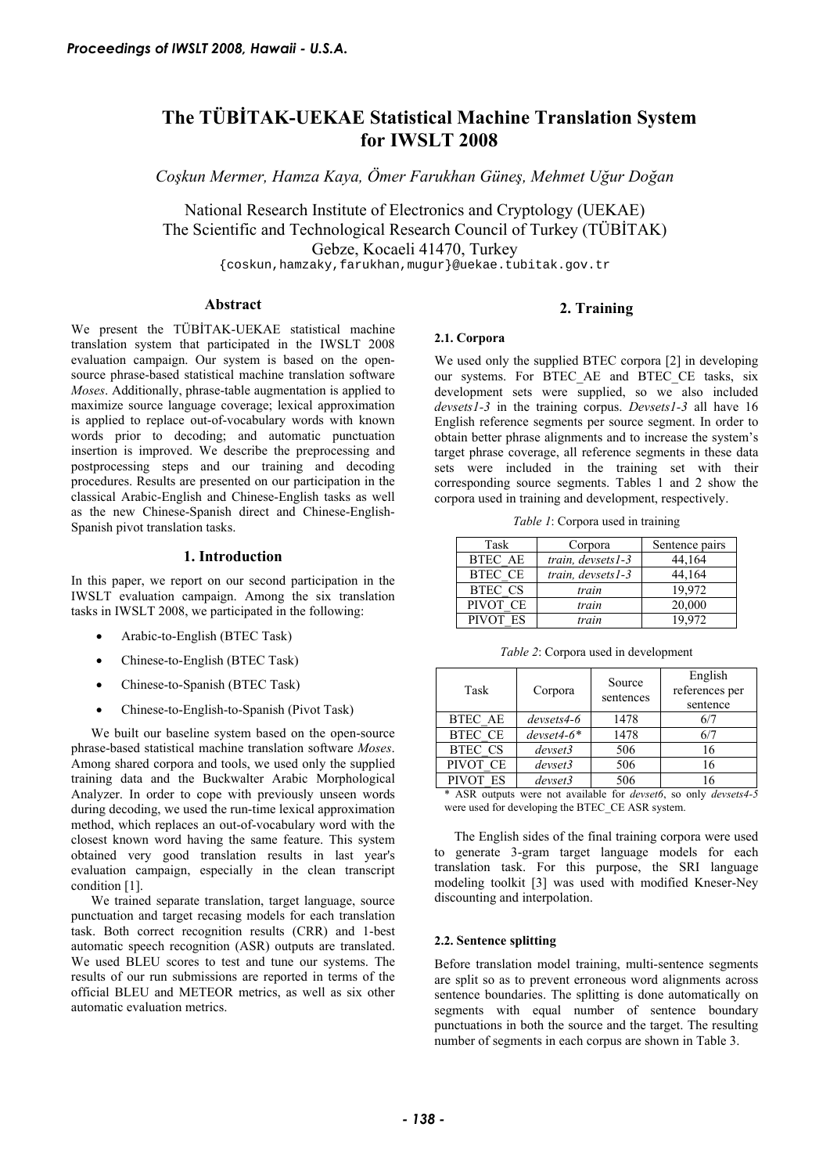# **The TÜBİTAK-UEKAE Statistical Machine Translation System for IWSLT 2008**

*Coşkun Mermer, Hamza Kaya, Ömer Farukhan Güneş, Mehmet Uğur Doğan* 

National Research Institute of Electronics and Cryptology (UEKAE) The Scientific and Technological Research Council of Turkey (TÜBİTAK) Gebze, Kocaeli 41470, Turkey

{coskun,hamzaky,farukhan,mugur}@uekae.tubitak.gov.tr

#### **Abstract**

#### **2. Training**

We present the TÜBİTAK-UEKAE statistical machine translation system that participated in the IWSLT 2008 evaluation campaign. Our system is based on the opensource phrase-based statistical machine translation software *Moses*. Additionally, phrase-table augmentation is applied to maximize source language coverage; lexical approximation is applied to replace out-of-vocabulary words with known words prior to decoding; and automatic punctuation insertion is improved. We describe the preprocessing and postprocessing steps and our training and decoding procedures. Results are presented on our participation in the classical Arabic-English and Chinese-English tasks as well as the new Chinese-Spanish direct and Chinese-English-Spanish pivot translation tasks.

### **1. Introduction**

In this paper, we report on our second participation in the IWSLT evaluation campaign. Among the six translation tasks in IWSLT 2008, we participated in the following:

- Arabic-to-English (BTEC Task)
- Chinese-to-English (BTEC Task)
- Chinese-to-Spanish (BTEC Task)
- Chinese-to-English-to-Spanish (Pivot Task)

We built our baseline system based on the open-source phrase-based statistical machine translation software *Moses*. Among shared corpora and tools, we used only the supplied training data and the Buckwalter Arabic Morphological Analyzer. In order to cope with previously unseen words during decoding, we used the run-time lexical approximation method, which replaces an out-of-vocabulary word with the closest known word having the same feature. This system obtained very good translation results in last year's evaluation campaign, especially in the clean transcript condition [1].

We trained separate translation, target language, source punctuation and target recasing models for each translation task. Both correct recognition results (CRR) and 1-best automatic speech recognition (ASR) outputs are translated. We used BLEU scores to test and tune our systems. The results of our run submissions are reported in terms of the official BLEU and METEOR metrics, as well as six other automatic evaluation metrics.

## **2.1. Corpora**

We used only the supplied BTEC corpora [2] in developing our systems. For BTEC AE and BTEC CE tasks, six development sets were supplied, so we also included *devsets1-3* in the training corpus. *Devsets1-3* all have 16 English reference segments per source segment. In order to obtain better phrase alignments and to increase the system's target phrase coverage, all reference segments in these data sets were included in the training set with their corresponding source segments. Tables 1 and 2 show the corpora used in training and development, respectively.

*Table 1*: Corpora used in training

| Task           | Corpora           | Sentence pairs |
|----------------|-------------------|----------------|
| <b>BTEC AE</b> | train, devsets1-3 | 44,164         |
| <b>BTEC CE</b> | train, devsets1-3 | 44,164         |
| <b>BTEC CS</b> | train             | 19.972         |
| PIVOT CE       | train             | 20,000         |
| PIVOT ES       | train             | 19 972         |

*Table 2*: Corpora used in development

| Corpora      | Source<br>sentences | English<br>references per<br>sentence |
|--------------|---------------------|---------------------------------------|
| $devsets4-6$ | 1478                | 6/7                                   |
| $devset4-6*$ | 1478                | 6/7                                   |
| devset3      | 506                 | 16                                    |
| devset3      | 506                 | 16                                    |
| devset3      | 506                 |                                       |
|              |                     | .<br>$\sim$ $\sim$ $\sim$             |

\* ASR outputs were not available for *devset6*, so only *devsets4-5* were used for developing the BTEC\_CE ASR system.

The English sides of the final training corpora were used to generate 3-gram target language models for each translation task. For this purpose, the SRI language modeling toolkit [3] was used with modified Kneser-Ney discounting and interpolation.

#### **2.2. Sentence splitting**

Before translation model training, multi-sentence segments are split so as to prevent erroneous word alignments across sentence boundaries. The splitting is done automatically on segments with equal number of sentence boundary punctuations in both the source and the target. The resulting number of segments in each corpus are shown in Table 3.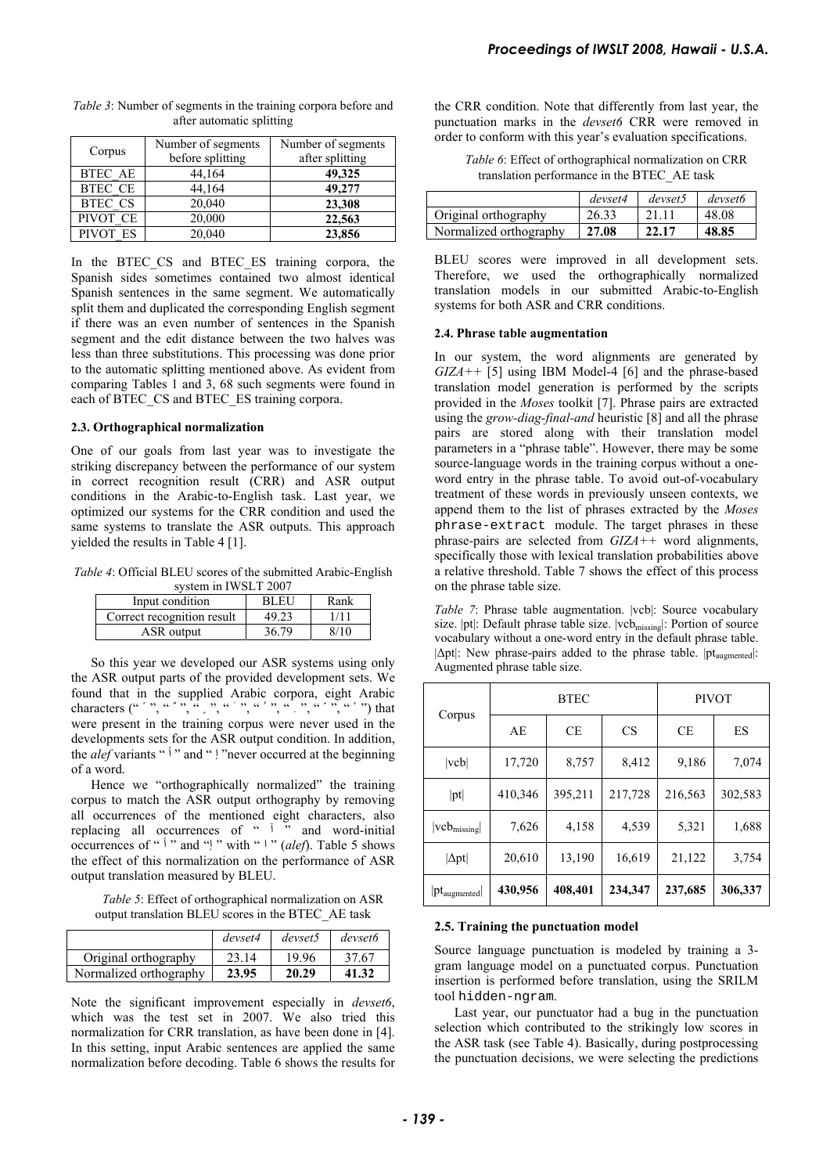| Corpus         | Number of segments<br>before splitting | Number of segments<br>after splitting |
|----------------|----------------------------------------|---------------------------------------|
| <b>BTEC AE</b> | 44,164                                 | 49,325                                |
| <b>BTEC CE</b> | 44,164                                 | 49,277                                |
| <b>BTEC CS</b> | 20,040                                 | 23,308                                |
| PIVOT CE       | 20,000                                 | 22,563                                |
| PIVOT ES       | 20,040                                 | 23,856                                |

*Table 3*: Number of segments in the training corpora before and after automatic splitting

In the BTEC CS and BTEC ES training corpora, the Spanish sides sometimes contained two almost identical Spanish sentences in the same segment. We automatically split them and duplicated the corresponding English segment if there was an even number of sentences in the Spanish segment and the edit distance between the two halves was less than three substitutions. This processing was done prior to the automatic splitting mentioned above. As evident from comparing Tables 1 and 3, 68 such segments were found in each of BTEC\_CS and BTEC\_ES training corpora.

#### **2.3. Orthographical normalization**

One of our goals from last year was to investigate the striking discrepancy between the performance of our system in correct recognition result (CRR) and ASR output conditions in the Arabic-to-English task. Last year, we optimized our systems for the CRR condition and used the same systems to translate the ASR outputs. This approach yielded the results in Table 4 [1].

*Table 4*: Official BLEU scores of the submitted Arabic-English system in IWSLT 2007

| Input condition            | <b>BLEU</b> | Rank |
|----------------------------|-------------|------|
| Correct recognition result | 49.23       | 1/11 |
| ASR output                 | 36.79       | 8/10 |

So this year we developed our ASR systems using only the ASR output parts of the provided development sets. We found that in the supplied Arabic corpora, eight Arabic characters  $($ ", ", ", ", ", ", ", ", ", ", ", ") that were present in the training corpus were never used in the developments sets for the ASR output condition. In addition, the *alef* variants "<sup>1</sup>" and " | "never occurred at the beginning of a word.

Hence we "orthographically normalized" the training corpus to match the ASR output orthography by removing all occurrences of the mentioned eight characters, also replacing all occurrences of " "" and word-initial occurrences of "<sup> $\dagger$ </sup>" and "<sup>'</sup>" with "<sup>'</sup>" (alef). Table 5 shows the effect of this normalization on the performance of ASR output translation measured by BLEU.

*Table 5*: Effect of orthographical normalization on ASR output translation BLEU scores in the BTEC\_AE task

|                        | devset4 | devset5 | devset6 |
|------------------------|---------|---------|---------|
| Original orthography   | 23.14   | 19.96   | 37.67   |
| Normalized orthography | 23.95   | 20.29   | 41.32   |

Note the significant improvement especially in *devset6*, which was the test set in 2007. We also tried this normalization for CRR translation, as have been done in [4]. In this setting, input Arabic sentences are applied the same normalization before decoding. Table 6 shows the results for the CRR condition. Note that differently from last year, the punctuation marks in the *devset6* CRR were removed in order to conform with this year's evaluation specifications.

*Table 6*: Effect of orthographical normalization on CRR translation performance in the BTEC\_AE task

|                        | devset4 | devset5 | devset6 |
|------------------------|---------|---------|---------|
| Original orthography   | 26.33   |         | 48.08   |
| Normalized orthography | 27.08   | 22.17   | 48.85   |

BLEU scores were improved in all development sets. Therefore, we used the orthographically normalized translation models in our submitted Arabic-to-English systems for both ASR and CRR conditions.

#### **2.4. Phrase table augmentation**

In our system, the word alignments are generated by *GIZA++* [5] using IBM Model-4 [6] and the phrase-based translation model generation is performed by the scripts provided in the *Moses* toolkit [7]. Phrase pairs are extracted using the *grow-diag-final-and* heuristic [8] and all the phrase pairs are stored along with their translation model parameters in a "phrase table". However, there may be some source-language words in the training corpus without a oneword entry in the phrase table. To avoid out-of-vocabulary treatment of these words in previously unseen contexts, we append them to the list of phrases extracted by the *Moses* phrase-extract module. The target phrases in these phrase-pairs are selected from *GIZA++* word alignments, specifically those with lexical translation probabilities above a relative threshold. Table 7 shows the effect of this process on the phrase table size. **Proceedings of IWSLT 2008, Hawaii** + U.S.A.<br>the CRR condition match and differently from last year, the<br>particulation match in the descende CRR were removed in<br>order to conform with this year's evolution specifications.<br>

*Table 7*: Phrase table augmentation. |vcb|: Source vocabulary size. |pt|: Default phrase table size. |vcb<sub>missing</sub>|: Portion of source vocabulary without a one-word entry in the default phrase table.  $|\Delta pt|$ : New phrase-pairs added to the phrase table.  $|pt_{\text{a}uomented}|$ : Augmented phrase table size.

|                      | <b>BTEC</b> |         |           | <b>PIVOT</b> |         |  |
|----------------------|-------------|---------|-----------|--------------|---------|--|
| Corpus               | AE          | CE.     | <b>CS</b> | <b>CE</b>    | ES      |  |
| $ $ vcb $ $          | 17,720      | 8,757   | 8,412     | 9,186        | 7,074   |  |
| pt                   | 410,346     | 395,211 | 217,728   | 216,563      | 302,583 |  |
| $ veb_{missing} $    | 7,626       | 4,158   | 4,539     | 5,321        | 1,688   |  |
| $ \Delta \text{pt} $ | 20,610      | 13,190  | 16,619    | 21,122       | 3,754   |  |
| $ pt_{augmented} $   | 430,956     | 408,401 | 234,347   | 237,685      | 306,337 |  |

#### **2.5. Training the punctuation model**

Source language punctuation is modeled by training a 3 gram language model on a punctuated corpus. Punctuation insertion is performed before translation, using the SRILM tool hidden-ngram.

Last year, our punctuator had a bug in the punctuation selection which contributed to the strikingly low scores in the ASR task (see Table 4). Basically, during postprocessing the punctuation decisions, we were selecting the predictions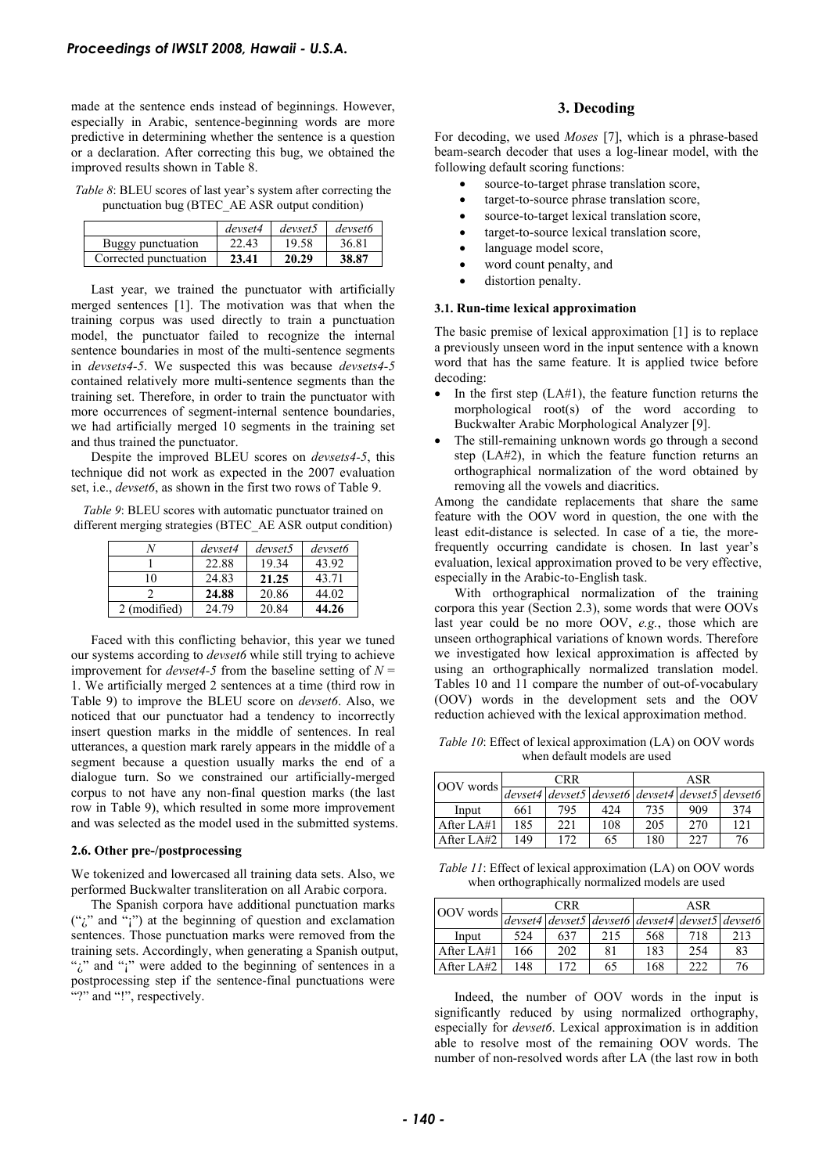made at the sentence ends instead of beginnings. However, especially in Arabic, sentence-beginning words are more predictive in determining whether the sentence is a question or a declaration. After correcting this bug, we obtained the improved results shown in Table 8.

*Table 8*: BLEU scores of last year's system after correcting the punctuation bug (BTEC\_AE ASR output condition)

|                       | devset4 | devset5 | devset6 |
|-----------------------|---------|---------|---------|
| Buggy punctuation     | 22.43   | 19.58   | 36.81   |
| Corrected punctuation | 23.41   | 20.29   | 38.87   |

Last year, we trained the punctuator with artificially merged sentences [1]. The motivation was that when the training corpus was used directly to train a punctuation model, the punctuator failed to recognize the internal sentence boundaries in most of the multi-sentence segments in *devsets4-5*. We suspected this was because *devsets4-5* contained relatively more multi-sentence segments than the training set. Therefore, in order to train the punctuator with more occurrences of segment-internal sentence boundaries, we had artificially merged 10 segments in the training set and thus trained the punctuator.

Despite the improved BLEU scores on *devsets4-5*, this technique did not work as expected in the 2007 evaluation set, i.e., *devset6*, as shown in the first two rows of Table 9.

*Table 9*: BLEU scores with automatic punctuator trained on different merging strategies (BTEC\_AE ASR output condition)

|              | devset4 | devset5 | devset <sub>6</sub> |
|--------------|---------|---------|---------------------|
|              | 22.88   | 19.34   | 43.92               |
| 10           | 24.83   | 21.25   | 43.71               |
|              | 24.88   | 20.86   | 44.02               |
| 2 (modified) | 24.79   | 20.84   | 44.26               |
|              |         |         |                     |

Faced with this conflicting behavior, this year we tuned our systems according to *devset6* while still trying to achieve improvement for *devset*4-5 from the baseline setting of  $N =$ 1. We artificially merged 2 sentences at a time (third row in Table 9) to improve the BLEU score on *devset6*. Also, we noticed that our punctuator had a tendency to incorrectly insert question marks in the middle of sentences. In real utterances, a question mark rarely appears in the middle of a segment because a question usually marks the end of a dialogue turn. So we constrained our artificially-merged corpus to not have any non-final question marks (the last row in Table 9), which resulted in some more improvement and was selected as the model used in the submitted systems.

#### **2.6. Other pre-/postprocessing**

We tokenized and lowercased all training data sets. Also, we performed Buckwalter transliteration on all Arabic corpora.

The Spanish corpora have additional punctuation marks  $("i"$  and "i") at the beginning of question and exclamation sentences. Those punctuation marks were removed from the training sets. Accordingly, when generating a Spanish output, ";" and ";" were added to the beginning of sentences in a postprocessing step if the sentence-final punctuations were "?" and "!", respectively.

## **3. Decoding**

For decoding, we used *Moses* [7], which is a phrase-based beam-search decoder that uses a log-linear model, with the following default scoring functions:

- source-to-target phrase translation score,
- target-to-source phrase translation score,
- source-to-target lexical translation score,
- target-to-source lexical translation score,
- language model score,
- word count penalty, and
- distortion penalty.

#### **3.1. Run-time lexical approximation**

The basic premise of lexical approximation [1] is to replace a previously unseen word in the input sentence with a known word that has the same feature. It is applied twice before decoding:

- In the first step  $(LA#1)$ , the feature function returns the morphological root(s) of the word according to Buckwalter Arabic Morphological Analyzer [9].
- The still-remaining unknown words go through a second step (LA#2), in which the feature function returns an orthographical normalization of the word obtained by removing all the vowels and diacritics.

Among the candidate replacements that share the same feature with the OOV word in question, the one with the least edit-distance is selected. In case of a tie, the morefrequently occurring candidate is chosen. In last year's evaluation, lexical approximation proved to be very effective, especially in the Arabic-to-English task.

With orthographical normalization of the training corpora this year (Section 2.3), some words that were OOVs last year could be no more OOV, *e.g.*, those which are unseen orthographical variations of known words. Therefore we investigated how lexical approximation is affected by using an orthographically normalized translation model. Tables 10 and 11 compare the number of out-of-vocabulary (OOV) words in the development sets and the OOV reduction achieved with the lexical approximation method.

*Table 10*: Effect of lexical approximation (LA) on OOV words when default models are used

| OOV words  | <b>CRR</b> |     |                                                   | ASR |     |     |
|------------|------------|-----|---------------------------------------------------|-----|-----|-----|
|            |            |     | $devset4$ devset5 devset6 devset4 devset5 devset6 |     |     |     |
| Input      | 661        | 795 | 42.4                                              | 735 | 909 | 374 |
| After LA#1 | 185        | 221 | 108                                               | 205 | 270 | 121 |
| After LA#2 | 149        | 172 | 65                                                | 180 | 227 | 76  |

*Table 11*: Effect of lexical approximation (LA) on OOV words when orthographically normalized models are used

| <b>CRR</b><br><b>OOV</b> words |     | ASR |     |     |     |                                                 |
|--------------------------------|-----|-----|-----|-----|-----|-------------------------------------------------|
|                                |     |     |     |     |     | devset4 devset5 devset6 devset4 devset5 devset6 |
| Input                          | 524 | 637 | 215 | 568 | 718 | 213                                             |
| After LA#1                     | 166 | 202 | 81  | 183 | 254 | 83                                              |
| After LA#2                     | 148 | 172 | 65  | 168 | 222 | 76                                              |

Indeed, the number of OOV words in the input is significantly reduced by using normalized orthography, especially for *devset6*. Lexical approximation is in addition able to resolve most of the remaining OOV words. The number of non-resolved words after LA (the last row in both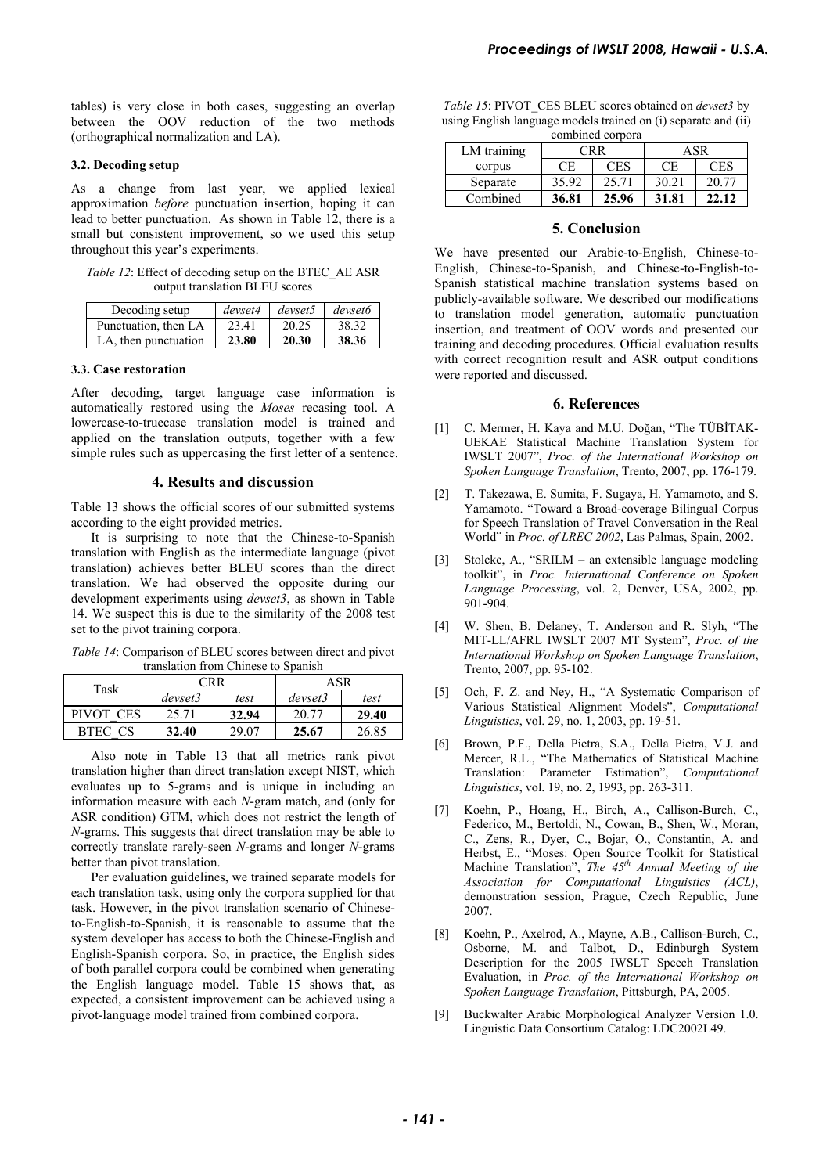tables) is very close in both cases, suggesting an overlap between the OOV reduction of the two methods (orthographical normalization and LA).

### **3.2. Decoding setup**

As a change from last year, we applied lexical approximation *before* punctuation insertion, hoping it can lead to better punctuation. As shown in Table 12, there is a small but consistent improvement, so we used this setup throughout this year's experiments.

*Table 12*: Effect of decoding setup on the BTEC\_AE ASR output translation BLEU scores

| Decoding setup       | devset4 | devset5 | devset6 |
|----------------------|---------|---------|---------|
| Punctuation, then LA | 23.41   | 20.25   | 38.32   |
| LA, then punctuation | 23.80   | 20.30   | 38.36   |

#### **3.3. Case restoration**

After decoding, target language case information is automatically restored using the *Moses* recasing tool. A lowercase-to-truecase translation model is trained and applied on the translation outputs, together with a few simple rules such as uppercasing the first letter of a sentence.

#### **4. Results and discussion**

Table 13 shows the official scores of our submitted systems according to the eight provided metrics.

It is surprising to note that the Chinese-to-Spanish translation with English as the intermediate language (pivot translation) achieves better BLEU scores than the direct translation. We had observed the opposite during our development experiments using *devset3*, as shown in Table 14. We suspect this is due to the similarity of the 2008 test set to the pivot training corpora.

*Table 14*: Comparison of BLEU scores between direct and pivot translation from Chinese to Spanish

| Task      | CRR)    |       | ASR     |       |  |
|-----------|---------|-------|---------|-------|--|
|           | devset3 | test  | devset3 | test  |  |
| PIVOT CES | 25.71   | 32.94 | 20.77   | 29.40 |  |
| BTEC CS   | 32.40   | 29.07 | 25.67   | 26.85 |  |

Also note in Table 13 that all metrics rank pivot translation higher than direct translation except NIST, which evaluates up to 5-grams and is unique in including an information measure with each *N*-gram match, and (only for ASR condition) GTM, which does not restrict the length of *N*-grams. This suggests that direct translation may be able to correctly translate rarely-seen *N*-grams and longer *N*-grams better than pivot translation.

Per evaluation guidelines, we trained separate models for each translation task, using only the corpora supplied for that task. However, in the pivot translation scenario of Chineseto-English-to-Spanish, it is reasonable to assume that the system developer has access to both the Chinese-English and English-Spanish corpora. So, in practice, the English sides of both parallel corpora could be combined when generating the English language model. Table 15 shows that, as expected, a consistent improvement can be achieved using a pivot-language model trained from combined corpora.

*Table 15*: PIVOT\_CES BLEU scores obtained on *devset3* by using English language models trained on (i) separate and (ii) combined corpora

| $\frac{1}{2}$ |       |            |       |       |  |  |  |  |
|---------------|-------|------------|-------|-------|--|--|--|--|
| LM training   |       | CRR.       | ASR   |       |  |  |  |  |
| corpus        | СE    | <b>CES</b> | СE    | CES   |  |  |  |  |
| Separate      | 35.92 | 25.71      | 30.21 | 20.77 |  |  |  |  |
| Combined      | 36.81 | 25.96      | 31.81 | 22.12 |  |  |  |  |

## **5. Conclusion**

We have presented our Arabic-to-English, Chinese-to-English, Chinese-to-Spanish, and Chinese-to-English-to-Spanish statistical machine translation systems based on publicly-available software. We described our modifications to translation model generation, automatic punctuation insertion, and treatment of OOV words and presented our training and decoding procedures. Official evaluation results with correct recognition result and ASR output conditions were reported and discussed. *Froceedings of IWSLT 2008, Hawaii*  $\frac{1}{2}$  *Fig. 1913*  $\frac{1}{2}$  *Process* (*Fig. 1913*)  $\frac{1}{2}$  **Consider transformation** *Consider transformation* (*CH)* **Examples model transformation** (*CH)* **Examples model transf** 

#### **6. References**

- [1] C. Mermer, H. Kaya and M.U. Doğan, "The TÜBİTAK-UEKAE Statistical Machine Translation System for IWSLT 2007", *Proc. of the International Workshop on Spoken Language Translation*, Trento, 2007, pp. 176-179.
- [2] T. Takezawa, E. Sumita, F. Sugaya, H. Yamamoto, and S. Yamamoto. "Toward a Broad-coverage Bilingual Corpus for Speech Translation of Travel Conversation in the Real World" in *Proc. of LREC 2002*, Las Palmas, Spain, 2002.
- [3] Stolcke, A., "SRILM an extensible language modeling toolkit", in *Proc. International Conference on Spoken Language Processing*, vol. 2, Denver, USA, 2002, pp. 901-904.
- [4] W. Shen, B. Delaney, T. Anderson and R. Slyh, "The MIT-LL/AFRL IWSLT 2007 MT System", *Proc. of the International Workshop on Spoken Language Translation*, Trento, 2007, pp. 95-102.
- [5] Och, F. Z. and Ney, H., "A Systematic Comparison of Various Statistical Alignment Models", *Computational Linguistics*, vol. 29, no. 1, 2003, pp. 19-51.
- [6] Brown, P.F., Della Pietra, S.A., Della Pietra, V.J. and Mercer, R.L., "The Mathematics of Statistical Machine Translation: Parameter Estimation", *Computational Linguistics*, vol. 19, no. 2, 1993, pp. 263-311.
- [7] Koehn, P., Hoang, H., Birch, A., Callison-Burch, C., Federico, M., Bertoldi, N., Cowan, B., Shen, W., Moran, C., Zens, R., Dyer, C., Bojar, O., Constantin, A. and Herbst, E., "Moses: Open Source Toolkit for Statistical Machine Translation", *The 45th Annual Meeting of the Association for Computational Linguistics (ACL)*, demonstration session, Prague, Czech Republic, June 2007.
- [8] Koehn, P., Axelrod, A., Mayne, A.B., Callison-Burch, C., Osborne, M. and Talbot, D., Edinburgh System Description for the 2005 IWSLT Speech Translation Evaluation, in *Proc. of the International Workshop on Spoken Language Translation*, Pittsburgh, PA, 2005.
- [9] Buckwalter Arabic Morphological Analyzer Version 1.0. Linguistic Data Consortium Catalog: LDC2002L49.